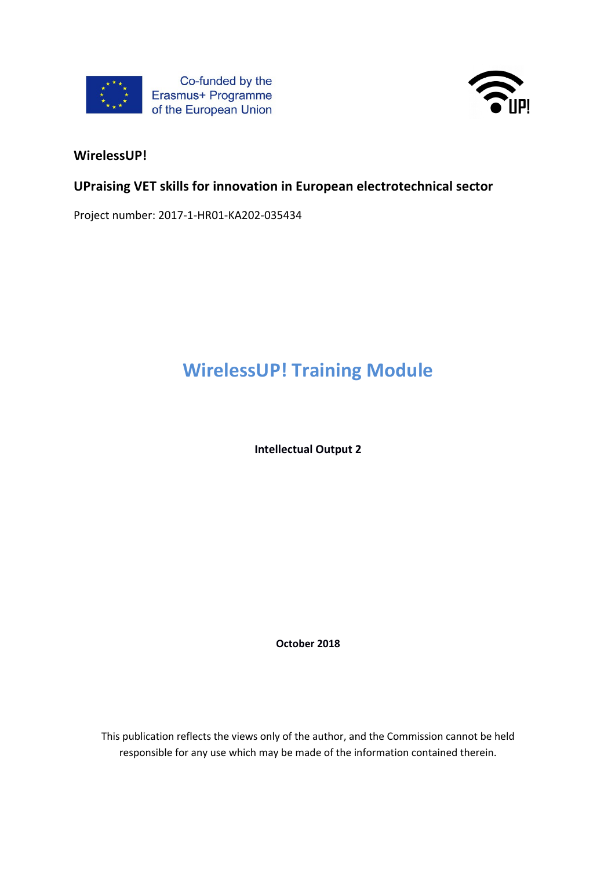



#### **WirelessUP!**

#### **UPraising VET skills for innovation in European electrotechnical sector**

Project number: 2017-1-HR01-KA202-035434

# **WirelessUP! Training Module**

**Intellectual Output 2**

**October 2018**

This publication reflects the views only of the author, and the Commission cannot be held responsible for any use which may be made of the information contained therein.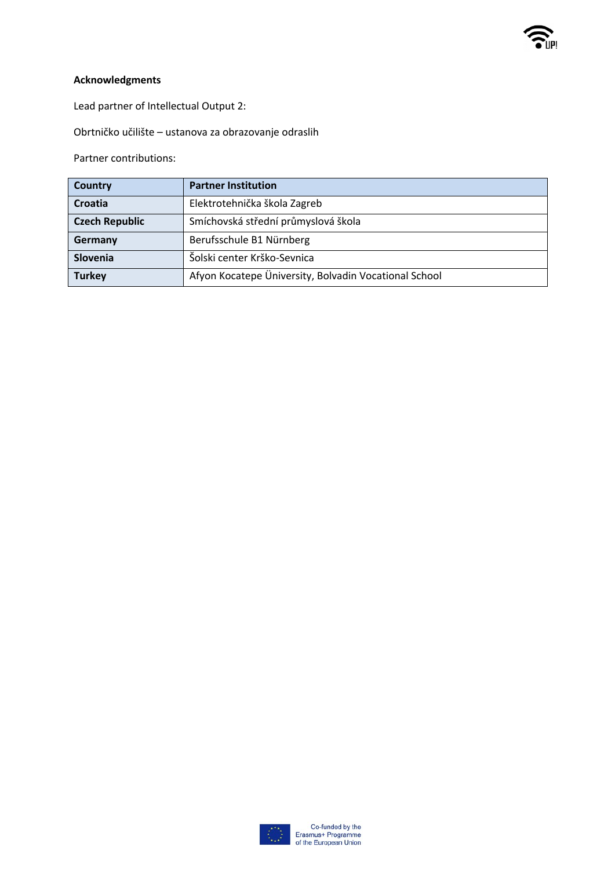

#### **Acknowledgments**

Lead partner of Intellectual Output 2:

Obrtničko učilište – ustanova za obrazovanje odraslih

Partner contributions:

| <b>Country</b>        | <b>Partner Institution</b>                            |
|-----------------------|-------------------------------------------------------|
| Croatia               | Elektrotehnička škola Zagreb                          |
| <b>Czech Republic</b> | Smíchovská střední průmyslová škola                   |
| Germany               | Berufsschule B1 Nürnberg                              |
| Slovenia              | Šolski center Krško-Sevnica                           |
| <b>Turkey</b>         | Afyon Kocatepe Üniversity, Bolvadin Vocational School |

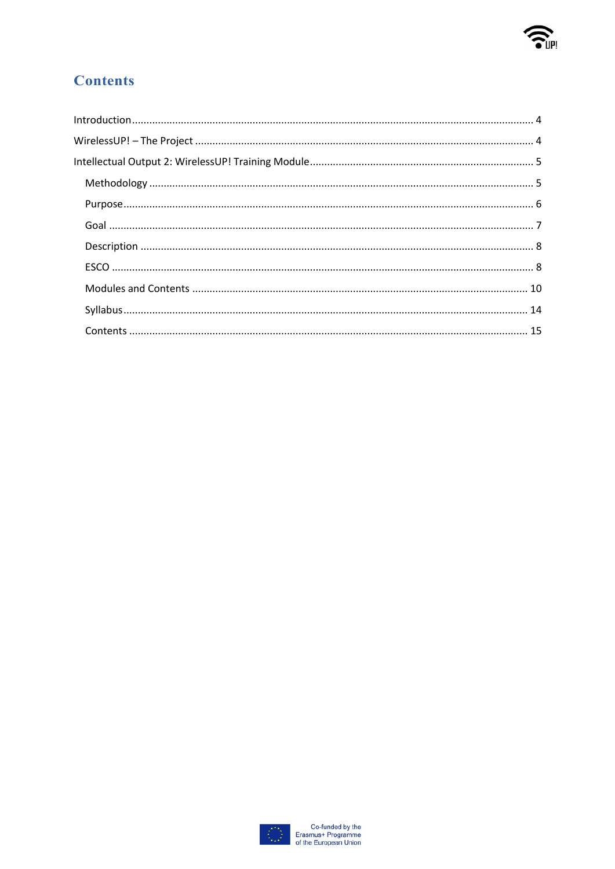

## **Contents**

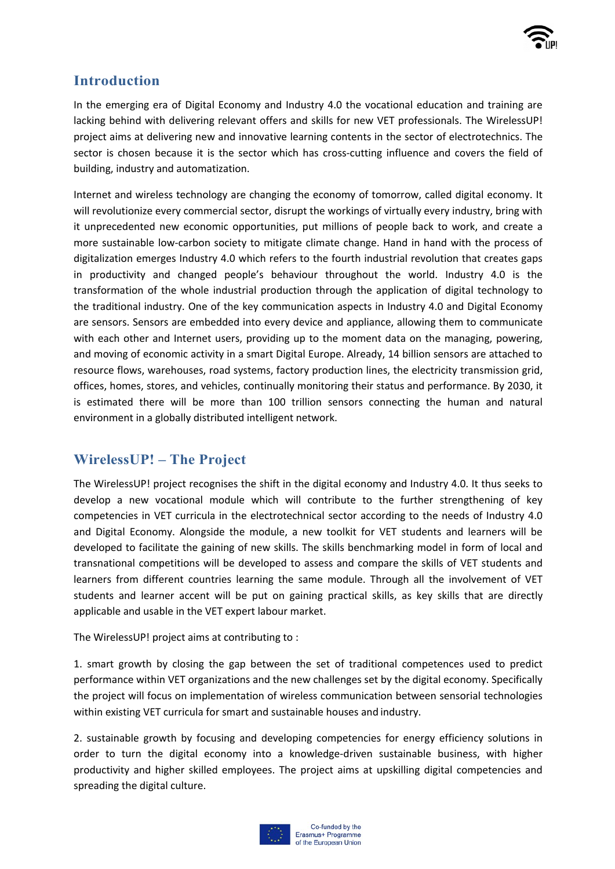

## **Introduction**

In the emerging era of Digital Economy and Industry 4.0 the vocational education and training are lacking behind with delivering relevant offers and skills for new VET professionals. The WirelessUP! project aims at delivering new and innovative learning contents in the sector of electrotechnics. The sector is chosen because it is the sector which has cross-cutting influence and covers the field of building, industry and automatization.

Internet and wireless technology are changing the economy of tomorrow, called digital economy. It will revolutionize every commercial sector, disrupt the workings of virtually every industry, bring with it unprecedented new economic opportunities, put millions of people back to work, and create a more sustainable low-carbon society to mitigate climate change. Hand in hand with the process of digitalization emerges Industry 4.0 which refers to the fourth industrial revolution that creates gaps in productivity and changed people's behaviour throughout the world. Industry 4.0 is the transformation of the whole industrial production through the application of digital technology to the traditional industry. One of the key communication aspects in Industry 4.0 and Digital Economy are sensors. Sensors are embedded into every device and appliance, allowing them to communicate with each other and Internet users, providing up to the moment data on the managing, powering, and moving of economic activity in a smart Digital Europe. Already, 14 billion sensors are attached to resource flows, warehouses, road systems, factory production lines, the electricity transmission grid, offices, homes, stores, and vehicles, continually monitoring their status and performance. By 2030, it is estimated there will be more than 100 trillion sensors connecting the human and natural environment in a globally distributed intelligent network.

## **WirelessUP! – The Project**

The WirelessUP! project recognises the shift in the digital economy and Industry 4.0. It thus seeks to develop a new vocational module which will contribute to the further strengthening of key competencies in VET curricula in the electrotechnical sector according to the needs of Industry 4.0 and Digital Economy. Alongside the module, a new toolkit for VET students and learners will be developed to facilitate the gaining of new skills. The skills benchmarking model in form of local and transnational competitions will be developed to assess and compare the skills of VET students and learners from different countries learning the same module. Through all the involvement of VET students and learner accent will be put on gaining practical skills, as key skills that are directly applicable and usable in the VET expert labour market.

The WirelessUP! project aims at contributing to :

1. smart growth by closing the gap between the set of traditional competences used to predict performance within VET organizations and the new challenges set by the digital economy. Specifically the project will focus on implementation of wireless communication between sensorial technologies within existing VET curricula for smart and sustainable houses and industry.

2. sustainable growth by focusing and developing competencies for energy efficiency solutions in order to turn the digital economy into a knowledge-driven sustainable business, with higher productivity and higher skilled employees. The project aims at upskilling digital competencies and spreading the digital culture.

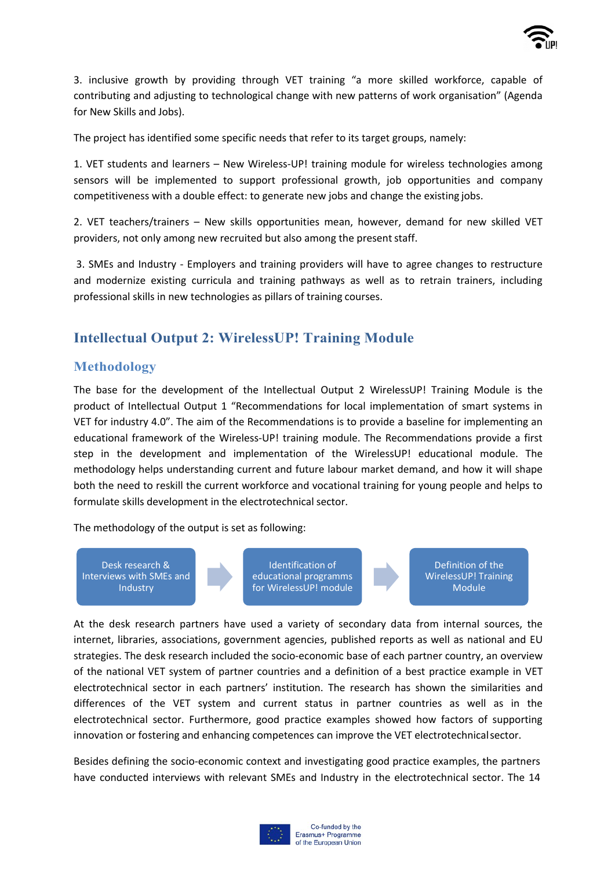

3. inclusive growth by providing through VET training "a more skilled workforce, capable of contributing and adjusting to technological change with new patterns of work organisation" (Agenda for New Skills and Jobs).

The project has identified some specific needs that refer to its target groups, namely:

1. VET students and learners – New Wireless-UP! training module for wireless technologies among sensors will be implemented to support professional growth, job opportunities and company competitiveness with a double effect: to generate new jobs and change the existing jobs.

2. VET teachers/trainers – New skills opportunities mean, however, demand for new skilled VET providers, not only among new recruited but also among the present staff.

3. SMEs and Industry - Employers and training providers will have to agree changes to restructure and modernize existing curricula and training pathways as well as to retrain trainers, including professional skills in new technologies as pillars of training courses.

### **Intellectual Output 2: WirelessUP! Training Module**

#### **Methodology**

The base for the development of the Intellectual Output 2 WirelessUP! Training Module is the product of Intellectual Output 1 "Recommendations for local implementation of smart systems in VET for industry 4.0". The aim of the Recommendations is to provide a baseline for implementing an educational framework of the Wireless-UP! training module. The Recommendations provide a first step in the development and implementation of the WirelessUP! educational module. The methodology helps understanding current and future labour market demand, and how it will shape both the need to reskill the current workforce and vocational training for young people and helps to formulate skills development in the electrotechnical sector.

The methodology of the output is set as following:

Desk research & Interviews with SMEs and Industry

Identification of educational programms for WirelessUP! module

Definition of the WirelessUP! Training Module

At the desk research partners have used a variety of secondary data from internal sources, the internet, libraries, associations, government agencies, published reports as well as national and EU strategies. The desk research included the socio-economic base of each partner country, an overview of the national VET system of partner countries and a definition of a best practice example in VET electrotechnical sector in each partners' institution. The research has shown the similarities and differences of the VET system and current status in partner countries as well as in the electrotechnical sector. Furthermore, good practice examples showed how factors of supporting innovation or fostering and enhancing competences can improve the VET electrotechnicalsector.

Besides defining the socio-economic context and investigating good practice examples, the partners have conducted interviews with relevant SMEs and Industry in the electrotechnical sector. The 14

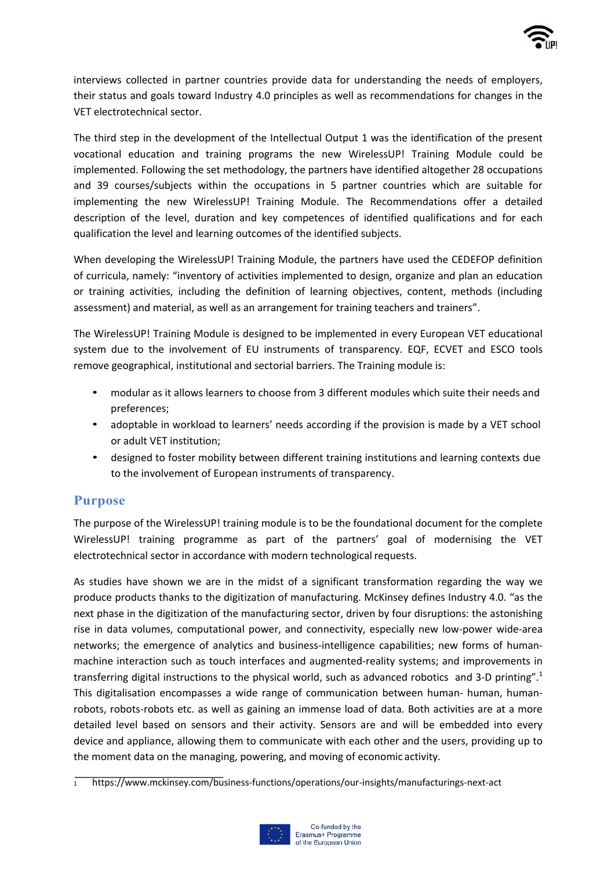

interviews collected in partner countries provide data for understanding the needs of employers, their status and goals toward Industry 4.0 principles as well as recommendations for changes in the VET electrotechnical sector.

The third step in the development of the Intellectual Output 1 was the identification of the present vocational education and training programs the new WirelessUP! Training Module could be implemented. Following the set methodology, the partners have identified altogether 28 occupations and 39 courses/subjects within the occupations in 5 partner countries which are suitable for implementing the new WirelessUP! Training Module. The Recommendations offer a detailed description of the level, duration and key competences of identified qualifications and for each qualification the level and learning outcomes of the identified subjects.

When developing the WirelessUP! Training Module, the partners have used the CEDEFOP definition of curricula, namely: "inventory of activities implemented to design, organize and plan an education or training activities, including the definition of learning objectives, content, methods (including assessment) and material, as well as an arrangement for training teachers and trainers".

The WirelessUP! Training Module is designed to be implemented in every European VET educational system due to the involvement of EU instruments of transparency. EQF, ECVET and ESCO tools remove geographical, institutional and sectorial barriers. The Training module is:

- modular as it allows learners to choose from 3 different modules which suite their needs and preferences;
- adoptable in workload to learners' needs according if the provision is made by a VET school or adult VET institution;
- designed to foster mobility between different training institutions and learning contexts due to the involvement of European instruments of transparency.

#### **Purpose**

The purpose of the WirelessUP! training module is to be the foundational document for the complete WirelessUP! training programme as part of the partners' goal of modernising the VET electrotechnical sector in accordance with modern technological requests.

As studies have shown we are in the midst of a significant transformation regarding the way we produce products thanks to the digitization of manufacturing. McKinsey defines Industry 4.0. "as the next phase in the digitization of the manufacturing sector, driven by four disruptions: the astonishing rise in data volumes, computational power, and connectivity, especially new low-power wide-area networks; the emergence of analytics and business-intelligence capabilities; new forms of humanmachine interaction such as touch interfaces and augmented-reality systems; and improvements in transferring digital instructions to the physical world, such as advanced robotics and 3-D printing".1 This digitalisation encompasses a wide range of communication between human- human, humanrobots, robots-robots etc. as well as gaining an immense load of data. Both activities are at a more detailed level based on sensors and their activity. Sensors are and will be embedded into every device and appliance, allowing them to communicate with each other and the users, providing up to the moment data on the managing, powering, and moving of economic activity.

 $\frac{1}{1}$  https://www.mckinsey.com/business-functions/operations/our-insights/manufacturings-next-act

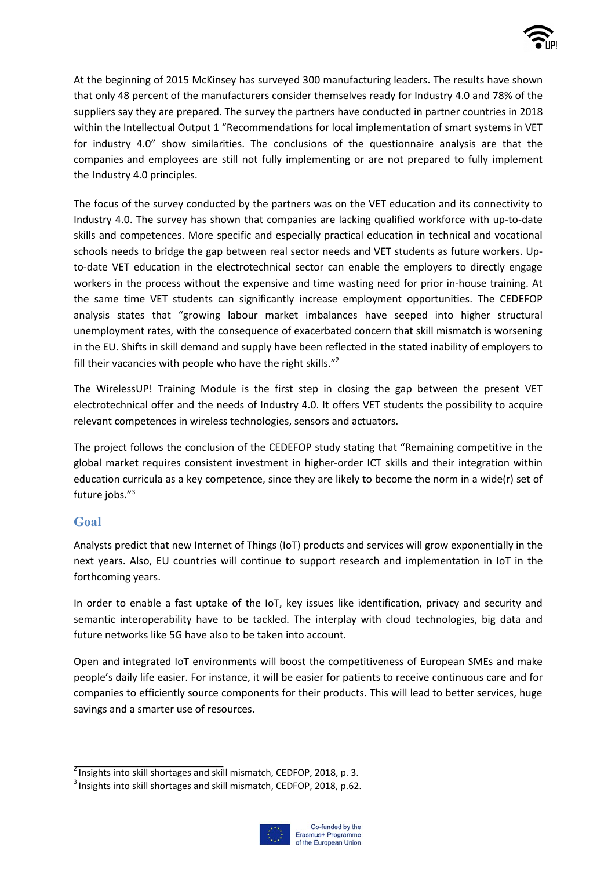

At the beginning of 2015 McKinsey has surveyed 300 manufacturing leaders. The results have shown that only 48 percent of the manufacturers consider themselves ready for Industry 4.0 and 78% of the suppliers say they are prepared. The survey the partners have conducted in partner countries in 2018 within the Intellectual Output 1 "Recommendations for local implementation of smart systems in VET for industry 4.0" show similarities. The conclusions of the questionnaire analysis are that the companies and employees are still not fully implementing or are not prepared to fully implement the Industry 4.0 principles.

The focus of the survey conducted by the partners was on the VET education and its connectivity to Industry 4.0. The survey has shown that companies are lacking qualified workforce with up-to-date skills and competences. More specific and especially practical education in technical and vocational schools needs to bridge the gap between real sector needs and VET students as future workers. Upto-date VET education in the electrotechnical sector can enable the employers to directly engage workers in the process without the expensive and time wasting need for prior in-house training. At the same time VET students can significantly increase employment opportunities. The CEDEFOP analysis states that "growing labour market imbalances have seeped into higher structural unemployment rates, with the consequence of exacerbated concern that skill mismatch is worsening in the EU. Shifts in skill demand and supply have been reflected in the stated inability of employers to fill their vacancies with people who have the right skills."<sup>2</sup>

The WirelessUP! Training Module is the first step in closing the gap between the present VET electrotechnical offer and the needs of Industry 4.0. It offers VET students the possibility to acquire relevant competences in wireless technologies, sensors and actuators.

The project follows the conclusion of the CEDEFOP study stating that "Remaining competitive in the global market requires consistent investment in higher-order ICT skills and their integration within education curricula as a key competence, since they are likely to become the norm in a wide(r) set of future jobs."3

#### **Goal**

Analysts predict that new Internet of Things (IoT) products and services will grow exponentially in the next years. Also, EU countries will continue to support research and implementation in IoT in the forthcoming years.

In order to enable a fast uptake of the IoT, key issues like identification, privacy and security and semantic interoperability have to be tackled. The interplay with cloud technologies, big data and future networks like 5G have also to be taken into account.

Open and integrated IoT environments will boost the competitiveness of European SMEs and make people's daily life easier. For instance, it will be easier for patients to receive continuous care and for companies to efficiently source components for their products. This will lead to better services, huge savings and a smarter use of resources.

<sup>&</sup>lt;sup>3</sup> Insights into skill shortages and skill mismatch, CEDFOP, 2018, p.62.



 $<sup>2</sup>$  Insights into skill shortages and skill mismatch, CEDFOP, 2018, p. 3.</sup>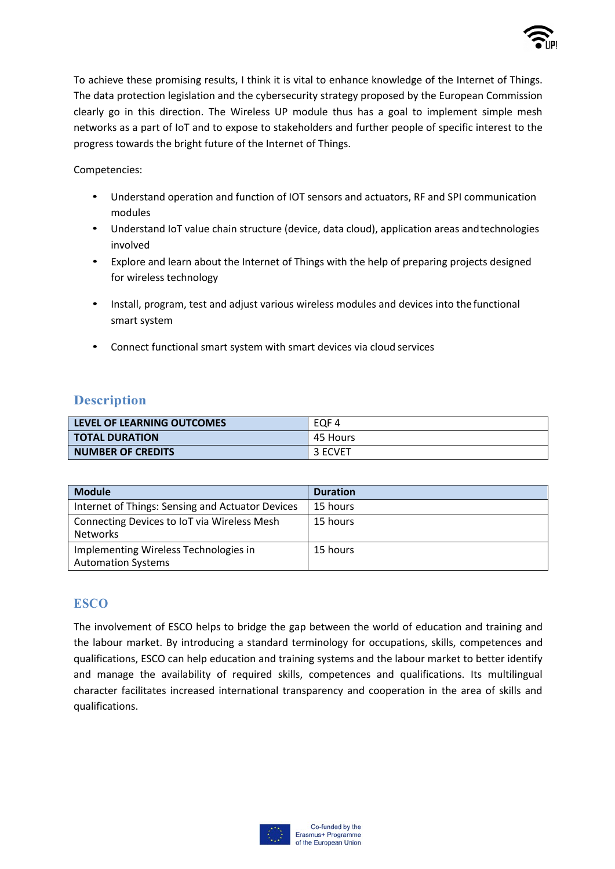

To achieve these promising results, I think it is vital to enhance knowledge of the Internet of Things. The data protection legislation and the cybersecurity strategy proposed by the European Commission clearly go in this direction. The Wireless UP module thus has a goal to implement simple mesh networks as a part of IoT and to expose to stakeholders and further people of specific interest to the progress towards the bright future of the Internet of Things.

Competencies:

- Understand operation and function of IOT sensors and actuators, RF and SPI communication modules
- Understand IoT value chain structure (device, data cloud), application areas andtechnologies involved
- Explore and learn about the Internet of Things with the help of preparing projects designed for wireless technology
- Install, program, test and adjust various wireless modules and devices into the functional smart system
- Connect functional smart system with smart devices via cloud services

#### **Description**

| LEVEL OF LEARNING OUTCOMES | EQF 4    |
|----------------------------|----------|
| <b>TOTAL DURATION</b>      | 45 Hours |
| <b>NUMBER OF CREDITS</b>   | 3 ECVET  |

| <b>Module</b>                                    | <b>Duration</b> |
|--------------------------------------------------|-----------------|
| Internet of Things: Sensing and Actuator Devices | 15 hours        |
| Connecting Devices to IoT via Wireless Mesh      | 15 hours        |
| <b>Networks</b>                                  |                 |
| Implementing Wireless Technologies in            | 15 hours        |
| <b>Automation Systems</b>                        |                 |

#### **ESCO**

The involvement of ESCO helps to bridge the gap between the world of education and training and the labour market. By introducing a standard terminology for occupations, skills, competences and qualifications, ESCO can help education and training systems and the labour market to better identify and manage the availability of required skills, competences and qualifications. Its multilingual character facilitates increased international transparency and cooperation in the area of skills and qualifications.

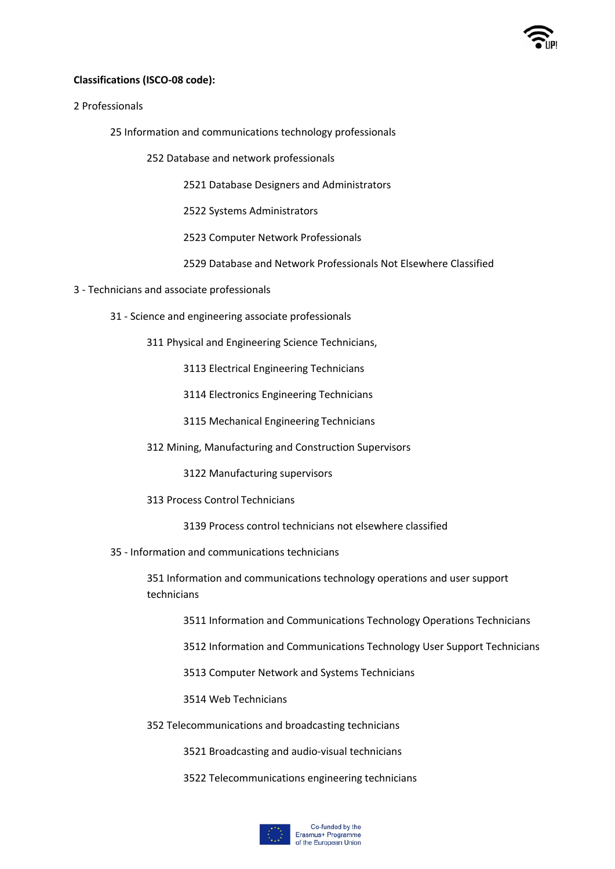

#### **Classifications (ISCO-08 code):**

2 Professionals

25 Information and communications technology professionals

252 Database and network professionals

2521 Database Designers and Administrators

2522 Systems Administrators

2523 Computer Network Professionals

2529 Database and Network Professionals Not Elsewhere Classified

- 3 Technicians and associate professionals
	- 31 Science and engineering associate professionals

311 Physical and Engineering Science Technicians,

3113 Electrical Engineering Technicians

3114 Electronics Engineering Technicians

3115 Mechanical Engineering Technicians

312 Mining, Manufacturing and Construction Supervisors

3122 Manufacturing supervisors

313 Process Control Technicians

3139 Process control technicians not elsewhere classified

35 - Information and communications technicians

351 Information and communications technology operations and user support technicians

3511 Information and Communications Technology Operations Technicians

3512 Information and Communications Technology User Support Technicians

3513 Computer Network and Systems Technicians

3514 Web Technicians

352 Telecommunications and broadcasting technicians

3521 Broadcasting and audio-visual technicians

3522 Telecommunications engineering technicians

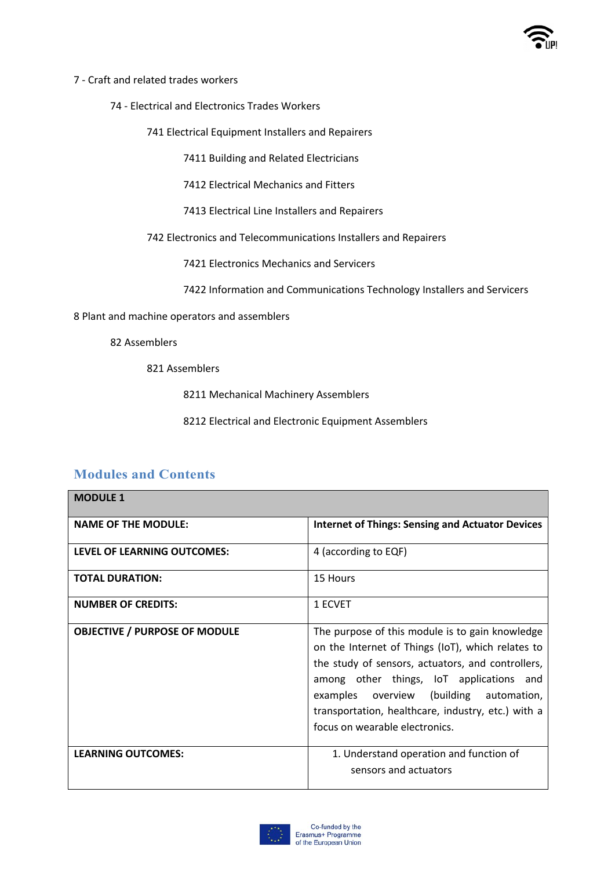

#### 7 - Craft and related trades workers

74 - Electrical and Electronics Trades Workers

741 Electrical Equipment Installers and Repairers

7411 Building and Related Electricians

7412 Electrical Mechanics and Fitters

7413 Electrical Line Installers and Repairers

742 Electronics and Telecommunications Installers and Repairers

7421 Electronics Mechanics and Servicers

7422 Information and Communications Technology Installers and Servicers

8 Plant and machine operators and assemblers

82 Assemblers

#### 821 Assemblers

8211 Mechanical Machinery Assemblers

8212 Electrical and Electronic Equipment Assemblers

#### **Modules and Contents**

| <b>MODULE 1</b>                      |                                                                                                                                                                                                                                                                                                                                          |
|--------------------------------------|------------------------------------------------------------------------------------------------------------------------------------------------------------------------------------------------------------------------------------------------------------------------------------------------------------------------------------------|
| <b>NAME OF THE MODULE:</b>           | <b>Internet of Things: Sensing and Actuator Devices</b>                                                                                                                                                                                                                                                                                  |
| <b>LEVEL OF LEARNING OUTCOMES:</b>   | 4 (according to EQF)                                                                                                                                                                                                                                                                                                                     |
| <b>TOTAL DURATION:</b>               | 15 Hours                                                                                                                                                                                                                                                                                                                                 |
| <b>NUMBER OF CREDITS:</b>            | 1 ECVET                                                                                                                                                                                                                                                                                                                                  |
| <b>OBJECTIVE / PURPOSE OF MODULE</b> | The purpose of this module is to gain knowledge<br>on the Internet of Things (IoT), which relates to<br>the study of sensors, actuators, and controllers,<br>among other things, IoT applications and<br>examples overview (building automation,<br>transportation, healthcare, industry, etc.) with a<br>focus on wearable electronics. |
| <b>LEARNING OUTCOMES:</b>            | 1. Understand operation and function of<br>sensors and actuators                                                                                                                                                                                                                                                                         |

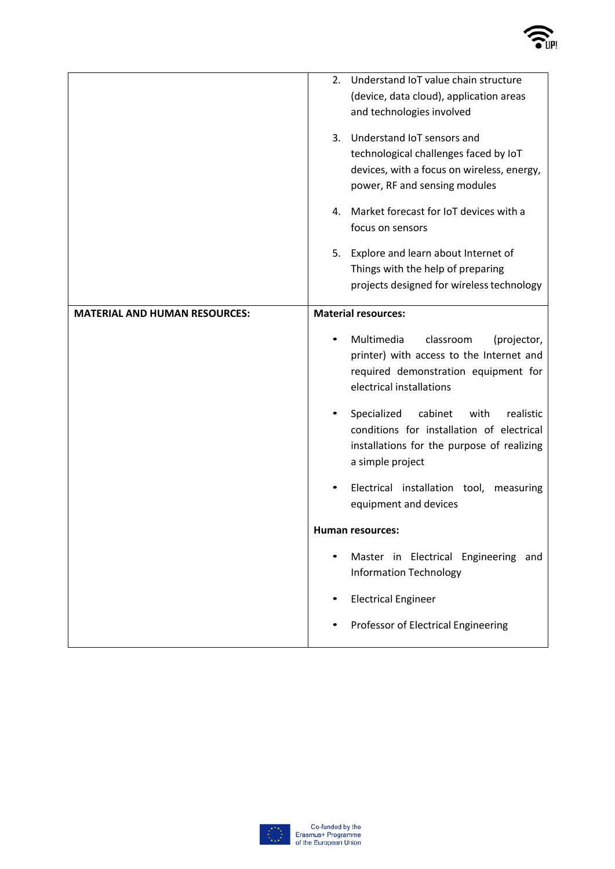

|                                      | Understand IoT value chain structure<br>2.              |  |  |
|--------------------------------------|---------------------------------------------------------|--|--|
|                                      | (device, data cloud), application areas                 |  |  |
|                                      | and technologies involved                               |  |  |
|                                      | Understand IoT sensors and<br>3.                        |  |  |
|                                      | technological challenges faced by IoT                   |  |  |
|                                      | devices, with a focus on wireless, energy,              |  |  |
|                                      | power, RF and sensing modules                           |  |  |
|                                      | Market forecast for IoT devices with a<br>4.            |  |  |
|                                      | focus on sensors                                        |  |  |
|                                      | Explore and learn about Internet of<br>5.               |  |  |
|                                      | Things with the help of preparing                       |  |  |
|                                      | projects designed for wireless technology               |  |  |
| <b>MATERIAL AND HUMAN RESOURCES:</b> | <b>Material resources:</b>                              |  |  |
|                                      | Multimedia<br>classroom                                 |  |  |
|                                      | (projector,<br>printer) with access to the Internet and |  |  |
|                                      | required demonstration equipment for                    |  |  |
|                                      | electrical installations                                |  |  |
|                                      | Specialized<br>cabinet<br>with<br>realistic             |  |  |
|                                      | conditions for installation of electrical               |  |  |
|                                      | installations for the purpose of realizing              |  |  |
|                                      | a simple project                                        |  |  |
|                                      | Electrical installation tool,<br>measuring              |  |  |
|                                      | equipment and devices                                   |  |  |
|                                      | Human resources:                                        |  |  |
|                                      | Master in Electrical Engineering and                    |  |  |
|                                      | <b>Information Technology</b>                           |  |  |
|                                      | <b>Electrical Engineer</b>                              |  |  |
|                                      | Professor of Electrical Engineering                     |  |  |
|                                      |                                                         |  |  |

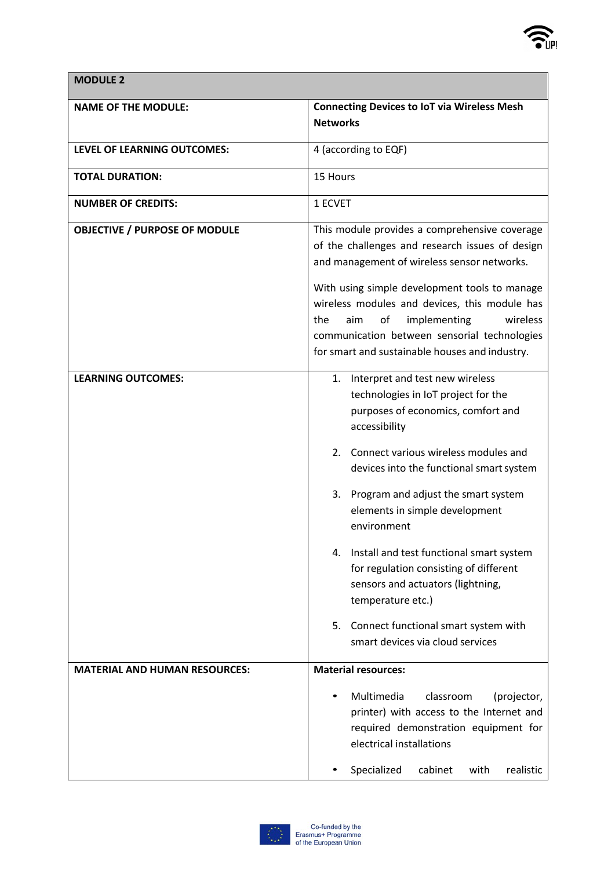

**MODULE 2**

| <b>NAME OF THE MODULE:</b>           | <b>Connecting Devices to IoT via Wireless Mesh</b><br><b>Networks</b>                                                                                                                                                                                                                                                                                                                                                                                                                                                                                   |  |  |
|--------------------------------------|---------------------------------------------------------------------------------------------------------------------------------------------------------------------------------------------------------------------------------------------------------------------------------------------------------------------------------------------------------------------------------------------------------------------------------------------------------------------------------------------------------------------------------------------------------|--|--|
| LEVEL OF LEARNING OUTCOMES:          | 4 (according to EQF)                                                                                                                                                                                                                                                                                                                                                                                                                                                                                                                                    |  |  |
| <b>TOTAL DURATION:</b>               | 15 Hours                                                                                                                                                                                                                                                                                                                                                                                                                                                                                                                                                |  |  |
| <b>NUMBER OF CREDITS:</b>            | 1 ECVET                                                                                                                                                                                                                                                                                                                                                                                                                                                                                                                                                 |  |  |
| <b>OBJECTIVE / PURPOSE OF MODULE</b> | This module provides a comprehensive coverage<br>of the challenges and research issues of design<br>and management of wireless sensor networks.<br>With using simple development tools to manage<br>wireless modules and devices, this module has<br>implementing<br>wireless<br>the<br>aim<br>of<br>communication between sensorial technologies<br>for smart and sustainable houses and industry.                                                                                                                                                     |  |  |
| <b>LEARNING OUTCOMES:</b>            | 1. Interpret and test new wireless<br>technologies in IoT project for the<br>purposes of economics, comfort and<br>accessibility<br>Connect various wireless modules and<br>2.<br>devices into the functional smart system<br>Program and adjust the smart system<br>3.<br>elements in simple development<br>environment<br>Install and test functional smart system<br>for regulation consisting of different<br>sensors and actuators (lightning,<br>temperature etc.)<br>5. Connect functional smart system with<br>smart devices via cloud services |  |  |
| <b>MATERIAL AND HUMAN RESOURCES:</b> | <b>Material resources:</b><br>Multimedia<br>classroom<br>(projector,<br>printer) with access to the Internet and<br>required demonstration equipment for<br>electrical installations<br>Specialized<br>with<br>realistic<br>cabinet                                                                                                                                                                                                                                                                                                                     |  |  |

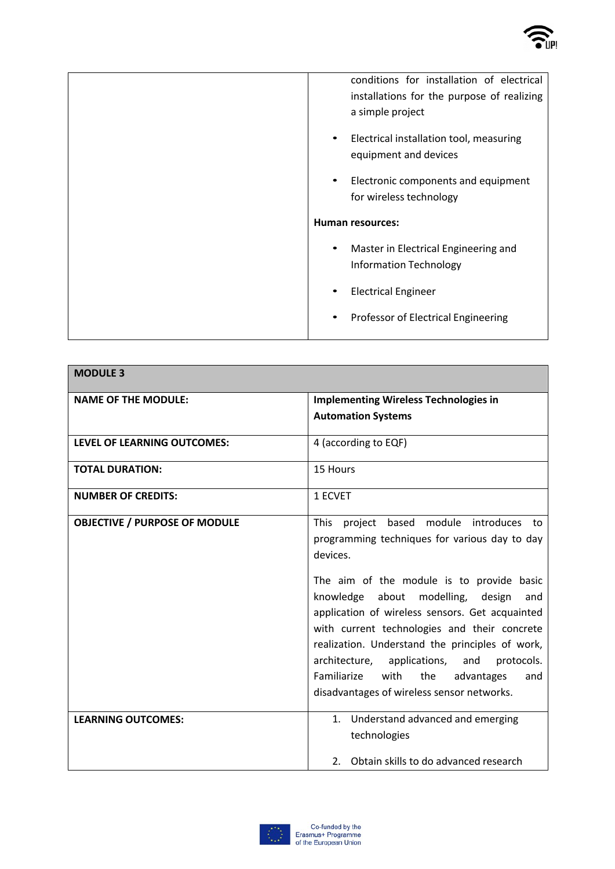

| conditions for installation of electrical<br>installations for the purpose of realizing<br>a simple project |  |  |  |
|-------------------------------------------------------------------------------------------------------------|--|--|--|
| Electrical installation tool, measuring<br>equipment and devices                                            |  |  |  |
| Electronic components and equipment<br>$\bullet$<br>for wireless technology                                 |  |  |  |
| <b>Human resources:</b>                                                                                     |  |  |  |
| Master in Electrical Engineering and<br>$\bullet$<br><b>Information Technology</b>                          |  |  |  |
| <b>Electrical Engineer</b>                                                                                  |  |  |  |
| Professor of Electrical Engineering<br>$\bullet$                                                            |  |  |  |

| <b>MODULE 3</b>                      |                                                                                                                                                                                                                                                                                                                                                                                                                                                                                                                       |  |  |
|--------------------------------------|-----------------------------------------------------------------------------------------------------------------------------------------------------------------------------------------------------------------------------------------------------------------------------------------------------------------------------------------------------------------------------------------------------------------------------------------------------------------------------------------------------------------------|--|--|
| <b>NAME OF THE MODULE:</b>           | <b>Implementing Wireless Technologies in</b><br><b>Automation Systems</b>                                                                                                                                                                                                                                                                                                                                                                                                                                             |  |  |
| <b>LEVEL OF LEARNING OUTCOMES:</b>   | 4 (according to EQF)                                                                                                                                                                                                                                                                                                                                                                                                                                                                                                  |  |  |
|                                      |                                                                                                                                                                                                                                                                                                                                                                                                                                                                                                                       |  |  |
| <b>TOTAL DURATION:</b>               | 15 Hours                                                                                                                                                                                                                                                                                                                                                                                                                                                                                                              |  |  |
| <b>NUMBER OF CREDITS:</b>            | 1 ECVET                                                                                                                                                                                                                                                                                                                                                                                                                                                                                                               |  |  |
| <b>OBJECTIVE / PURPOSE OF MODULE</b> | project based module introduces to<br><b>This</b><br>programming techniques for various day to day<br>devices.<br>The aim of the module is to provide basic<br>knowledge about modelling, design<br>and<br>application of wireless sensors. Get acquainted<br>with current technologies and their concrete<br>realization. Understand the principles of work,<br>architecture,<br>applications,<br>protocols.<br>and<br>Familiarize<br>with<br>the<br>advantages<br>and<br>disadvantages of wireless sensor networks. |  |  |
| <b>LEARNING OUTCOMES:</b>            | 1. Understand advanced and emerging<br>technologies                                                                                                                                                                                                                                                                                                                                                                                                                                                                   |  |  |
|                                      | 2. Obtain skills to do advanced research                                                                                                                                                                                                                                                                                                                                                                                                                                                                              |  |  |

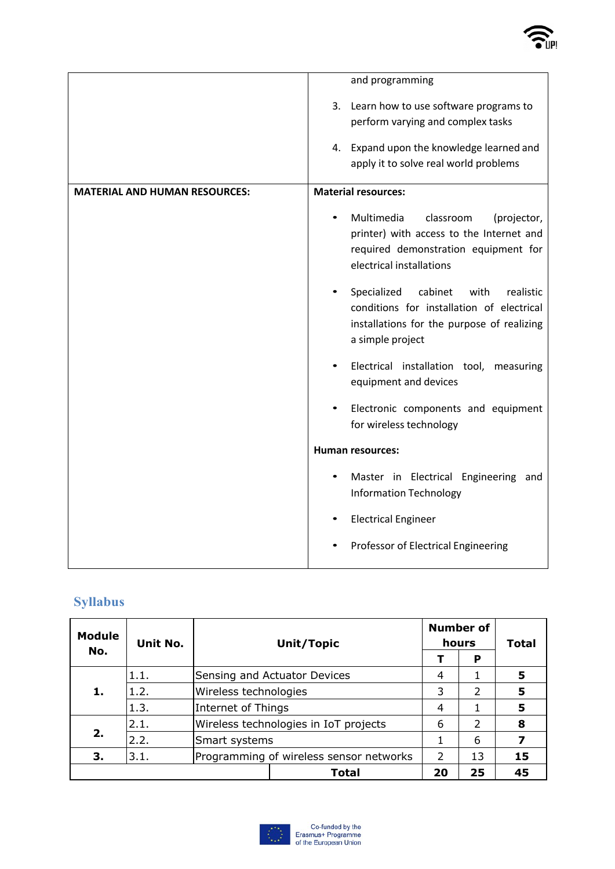

|                                      | and programming                                                                                                                                                    |  |  |
|--------------------------------------|--------------------------------------------------------------------------------------------------------------------------------------------------------------------|--|--|
|                                      | 3. Learn how to use software programs to<br>perform varying and complex tasks<br>4. Expand upon the knowledge learned and<br>apply it to solve real world problems |  |  |
| <b>MATERIAL AND HUMAN RESOURCES:</b> | <b>Material resources:</b>                                                                                                                                         |  |  |
|                                      | Multimedia<br>classroom<br>(projector,<br>printer) with access to the Internet and<br>required demonstration equipment for<br>electrical installations             |  |  |
|                                      | Specialized<br>cabinet<br>with<br>realistic<br>conditions for installation of electrical<br>installations for the purpose of realizing<br>a simple project         |  |  |
|                                      | Electrical installation tool, measuring<br>equipment and devices                                                                                                   |  |  |
|                                      | Electronic components and equipment<br>for wireless technology                                                                                                     |  |  |
|                                      | <b>Human resources:</b>                                                                                                                                            |  |  |
|                                      | Master in Electrical Engineering and<br><b>Information Technology</b>                                                                                              |  |  |
|                                      | <b>Electrical Engineer</b>                                                                                                                                         |  |  |
|                                      | Professor of Electrical Engineering                                                                                                                                |  |  |

## **Syllabus**

| <b>Module</b><br>No. | Unit No. | Unit/Topic                              |                                       | <b>Number of</b><br>hours |                | <b>Total</b> |
|----------------------|----------|-----------------------------------------|---------------------------------------|---------------------------|----------------|--------------|
|                      |          |                                         |                                       |                           | P              |              |
|                      | 1.1.     |                                         | Sensing and Actuator Devices          |                           |                | 5            |
| 1.                   | 1.2.     |                                         | Wireless technologies                 |                           | $\overline{2}$ | 5            |
|                      | 1.3.     |                                         | Internet of Things                    |                           |                | 5            |
|                      | 2.1.     |                                         | Wireless technologies in IoT projects |                           | 2              | 8            |
| 2.                   | 2.2.     | Smart systems                           |                                       |                           | 6              | 7            |
| З.                   | 3.1.     | Programming of wireless sensor networks |                                       | 2                         | 13             | 15           |
|                      |          |                                         | <b>Total</b>                          | 20                        | 25             | 45           |

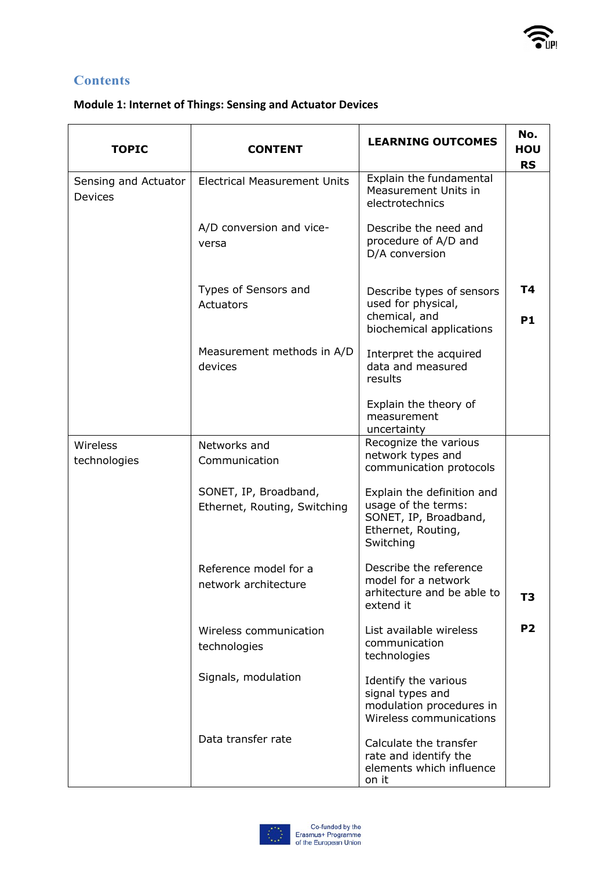יון<br>יווו

### **Contents**

#### **Module 1: Internet of Things: Sensing and Actuator Devices**

| <b>TOPIC</b>                           | <b>CONTENT</b>                                        | <b>LEARNING OUTCOMES</b>                                                                                      | No.<br>HOU<br><b>RS</b> |
|----------------------------------------|-------------------------------------------------------|---------------------------------------------------------------------------------------------------------------|-------------------------|
| Sensing and Actuator<br><b>Devices</b> | <b>Electrical Measurement Units</b>                   | Explain the fundamental<br>Measurement Units in<br>electrotechnics                                            |                         |
|                                        | A/D conversion and vice-<br>versa                     | Describe the need and<br>procedure of A/D and<br>D/A conversion                                               |                         |
|                                        | Types of Sensors and<br>Actuators                     | Describe types of sensors<br>used for physical,<br>chemical, and<br>biochemical applications                  | T4<br><b>P1</b>         |
|                                        | Measurement methods in A/D<br>devices                 | Interpret the acquired<br>data and measured<br>results                                                        |                         |
|                                        |                                                       | Explain the theory of<br>measurement<br>uncertainty                                                           |                         |
| Wireless<br>technologies               | Networks and<br>Communication                         | Recognize the various<br>network types and<br>communication protocols                                         |                         |
|                                        | SONET, IP, Broadband,<br>Ethernet, Routing, Switching | Explain the definition and<br>usage of the terms:<br>SONET, IP, Broadband,<br>Ethernet, Routing,<br>Switching |                         |
|                                        | Reference model for a<br>network architecture         | Describe the reference<br>model for a network<br>arhitecture and be able to<br>extend it                      | T3                      |
|                                        | Wireless communication<br>technologies                | List available wireless<br>communication<br>technologies                                                      | <b>P2</b>               |
|                                        | Signals, modulation                                   | Identify the various<br>signal types and<br>modulation procedures in<br>Wireless communications               |                         |
| Data transfer rate                     |                                                       | Calculate the transfer<br>rate and identify the<br>elements which influence<br>on it                          |                         |

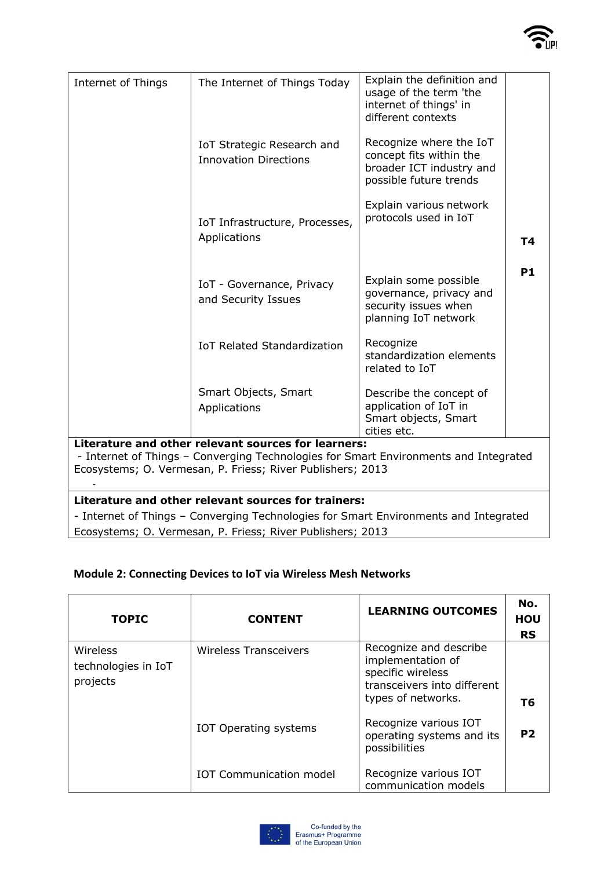

| Internet of Things                                                                                                                          | The Internet of Things Today                               | Explain the definition and<br>usage of the term 'the<br>internet of things' in<br>different contexts     |           |  |  |
|---------------------------------------------------------------------------------------------------------------------------------------------|------------------------------------------------------------|----------------------------------------------------------------------------------------------------------|-----------|--|--|
|                                                                                                                                             | IoT Strategic Research and<br><b>Innovation Directions</b> | Recognize where the IoT<br>concept fits within the<br>broader ICT industry and<br>possible future trends |           |  |  |
|                                                                                                                                             | IoT Infrastructure, Processes,<br>Applications             | Explain various network<br>protocols used in IoT                                                         |           |  |  |
|                                                                                                                                             |                                                            |                                                                                                          | T4        |  |  |
|                                                                                                                                             | IoT - Governance, Privacy<br>and Security Issues           | Explain some possible<br>governance, privacy and<br>security issues when<br>planning IoT network         | <b>P1</b> |  |  |
|                                                                                                                                             | <b>IoT Related Standardization</b>                         | Recognize<br>standardization elements<br>related to IoT                                                  |           |  |  |
|                                                                                                                                             | Smart Objects, Smart<br>Applications                       | Describe the concept of<br>application of IoT in<br>Smart objects, Smart<br>cities etc.                  |           |  |  |
| Literature and other relevant sources for learners:<br>- Internet of Things - Converging Technologies for Smart Environments and Integrated |                                                            |                                                                                                          |           |  |  |
| Ecosystems; O. Vermesan, P. Friess; River Publishers; 2013                                                                                  |                                                            |                                                                                                          |           |  |  |
| Literature and other relevant sources for trainers:                                                                                         |                                                            |                                                                                                          |           |  |  |
| - Internet of Things - Converging Technologies for Smart Environments and Integrated                                                        |                                                            |                                                                                                          |           |  |  |
| Ecosystems; O. Vermesan, P. Friess; River Publishers; 2013                                                                                  |                                                            |                                                                                                          |           |  |  |

## **Module 2: Connecting Devices to IoT via Wireless Mesh Networks**

| <b>TOPIC</b>                                | <b>CONTENT</b>                 | <b>LEARNING OUTCOMES</b>                                                                                              | No.<br><b>HOU</b><br><b>RS</b> |
|---------------------------------------------|--------------------------------|-----------------------------------------------------------------------------------------------------------------------|--------------------------------|
| Wireless<br>technologies in IoT<br>projects | Wireless Transceivers          | Recognize and describe<br>implementation of<br>specific wireless<br>transceivers into different<br>types of networks. | Т6                             |
|                                             | <b>IOT Operating systems</b>   | Recognize various IOT<br>operating systems and its<br>possibilities                                                   | P <sub>2</sub>                 |
|                                             | <b>IOT Communication model</b> | Recognize various IOT<br>communication models                                                                         |                                |

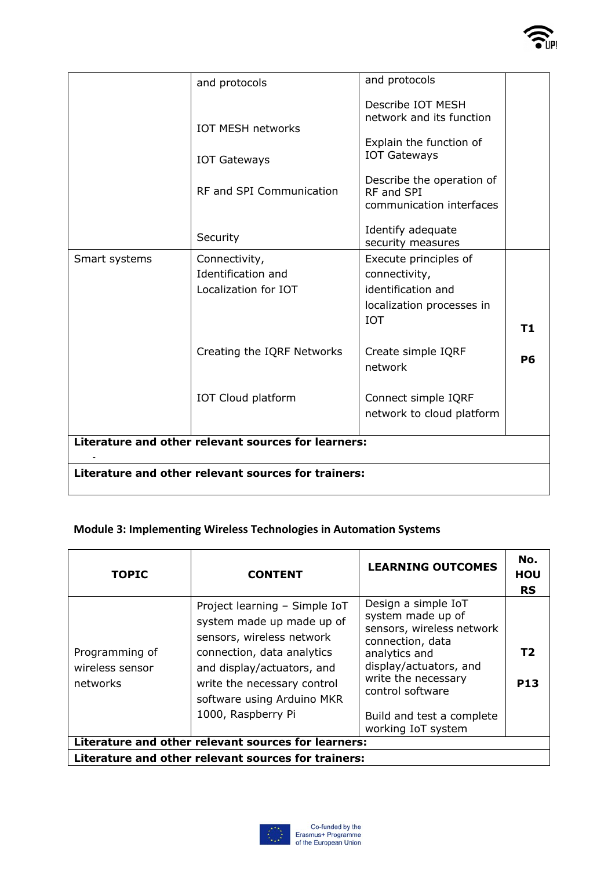|                                                     | and protocols              | and protocols                                                            |                |  |
|-----------------------------------------------------|----------------------------|--------------------------------------------------------------------------|----------------|--|
|                                                     | <b>IOT MESH networks</b>   | Describe IOT MESH<br>network and its function<br>Explain the function of |                |  |
|                                                     | <b>IOT Gateways</b>        | <b>IOT Gateways</b>                                                      |                |  |
|                                                     | RF and SPI Communication   | Describe the operation of<br>RF and SPI<br>communication interfaces      |                |  |
|                                                     | Security                   | Identify adequate<br>security measures                                   |                |  |
| Smart systems                                       | Connectivity,              | Execute principles of                                                    |                |  |
|                                                     | Identification and         | connectivity,                                                            |                |  |
|                                                     | Localization for IOT       | identification and                                                       |                |  |
|                                                     |                            | localization processes in                                                |                |  |
|                                                     |                            | <b>IOT</b>                                                               | T <sub>1</sub> |  |
|                                                     | Creating the IQRF Networks | Create simple IQRF<br>network                                            | P <sub>6</sub> |  |
|                                                     | IOT Cloud platform         | Connect simple IQRF<br>network to cloud platform                         |                |  |
| Literature and other relevant sources for learners: |                            |                                                                          |                |  |
| Literature and other relevant sources for trainers: |                            |                                                                          |                |  |

יון<br>יווו

#### **Module 3: Implementing Wireless Technologies in Automation Systems**

| <b>TOPIC</b>                                        | <b>CONTENT</b>                                                                                                                                                                                                                         | <b>LEARNING OUTCOMES</b>                                                                                                                                                                                                           | No.<br>HOU<br><b>RS</b> |  |  |
|-----------------------------------------------------|----------------------------------------------------------------------------------------------------------------------------------------------------------------------------------------------------------------------------------------|------------------------------------------------------------------------------------------------------------------------------------------------------------------------------------------------------------------------------------|-------------------------|--|--|
| Programming of<br>wireless sensor<br>networks       | Project learning - Simple IoT<br>system made up made up of<br>sensors, wireless network<br>connection, data analytics<br>and display/actuators, and<br>write the necessary control<br>software using Arduino MKR<br>1000, Raspberry Pi | Design a simple IoT<br>system made up of<br>sensors, wireless network<br>connection, data<br>analytics and<br>display/actuators, and<br>write the necessary<br>control software<br>Build and test a complete<br>working IoT system | T2<br><b>P13</b>        |  |  |
| Literature and other relevant sources for learners: |                                                                                                                                                                                                                                        |                                                                                                                                                                                                                                    |                         |  |  |
| Literature and other relevant sources for trainers: |                                                                                                                                                                                                                                        |                                                                                                                                                                                                                                    |                         |  |  |